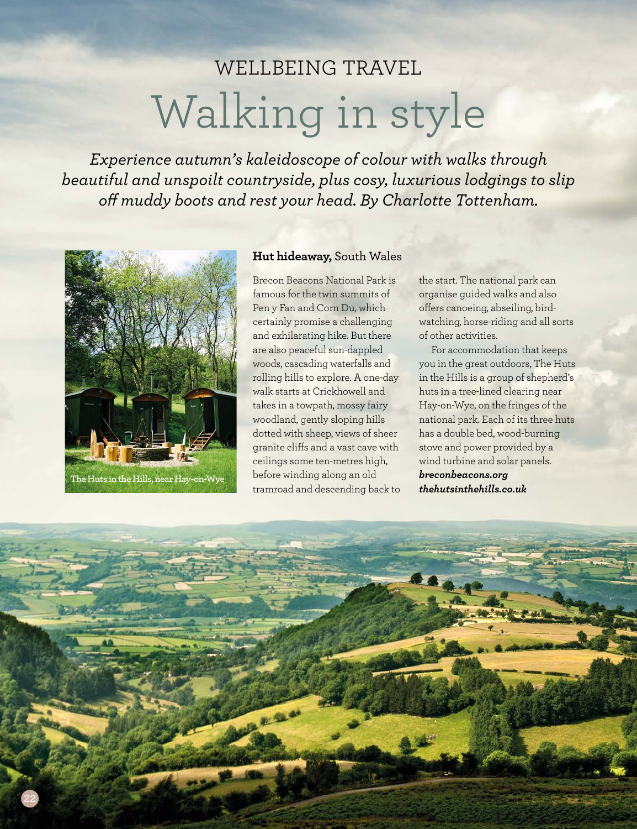# WELLBEING TRAVEL Walking in style

*Experience autumn's kaleidoscope of colour with walks through beautiful and unspoilt countryside, plus cosy, luxurious lodgings to slip of muddy boots and rest your head. By Charlotte Tottenham.*



#### **Hut hideaway,** South Wales

Brecon Beacons National Park is famous for the twin summits of Pen y Fan and Corn Du, which certainly promise a challenging and exhilarating hike. But there are also peaceful sun-dappled woods, cascading waterfalls and rolling hills to explore. A one-day walk starts at Crickhowell and takes in a towpath, mossy fairy woodland, gently sloping hills dotted with sheep, views of sheer granite clifs and a vast cave with ceilings some ten-metres high, before winding along an old tramroad and descending back to the start. The national park can organise guided walks and also offers canoeing, abseiling, birdwatching, horse-riding and all sorts of other activities.

For accommodation that keeps you in the great outdoors, The Huts in the Hills is a group of shepherd's huts in a tree-lined clearing near Hay-on-Wye, on the fringes of the national park. Each of its three huts has a double bed, wood-burning stove and power provided by a wind turbine and solar panels. *breconbeacons.org thehutsinthehills.co.uk* 

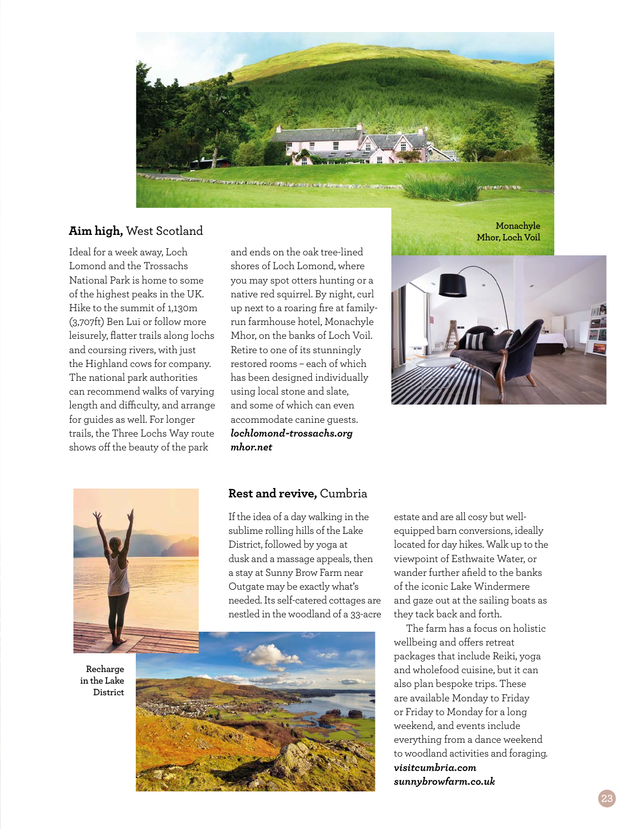

### **Aim high,** West Scotland

Ideal for a week away, Loch Lomond and the Trossachs National Park is home to some of the highest peaks in the UK. Hike to the summit of 1,130m (3,707ft) Ben Lui or follow more leisurely, flatter trails along lochs and coursing rivers, with just the Highland cows for company. The national park authorities can recommend walks of varying length and difficulty, and arrange for guides as well. For longer trails, the Three Lochs Way route shows off the beauty of the park

and ends on the oak tree-lined shores of Loch Lomond, where you may spot otters hunting or a native red squirrel. By night, curl up next to a roaring fire at familyrun farmhouse hotel, Monachyle Mhor, on the banks of Loch Voil. Retire to one of its stunningly restored rooms – each of which has been designed individually using local stone and slate, and some of which can even accommodate canine guests. *lochlomond-trossachs.org mhor.net*

**Monachyle Mhor, Loch Voil**





**Recharge in the Lake District**

#### **Rest and revive,** Cumbria

If the idea of a day walking in the sublime rolling hills of the Lake District, followed by yoga at dusk and a massage appeals, then a stay at Sunny Brow Farm near Outgate may be exactly what's needed. Its self-catered cottages are nestled in the woodland of a 33-acre



estate and are all cosy but wellequipped barn conversions, ideally located for day hikes. Walk up to the viewpoint of Esthwaite Water, or wander further afield to the banks of the iconic Lake Windermere and gaze out at the sailing boats as they tack back and forth.

The farm has a focus on holistic wellbeing and offers retreat packages that include Reiki, yoga and wholefood cuisine, but it can also plan bespoke trips. These are available Monday to Friday or Friday to Monday for a long weekend, and events include everything from a dance weekend to woodland activities and foraging. *visitcumbria.com sunnybrowfarm.co.uk*